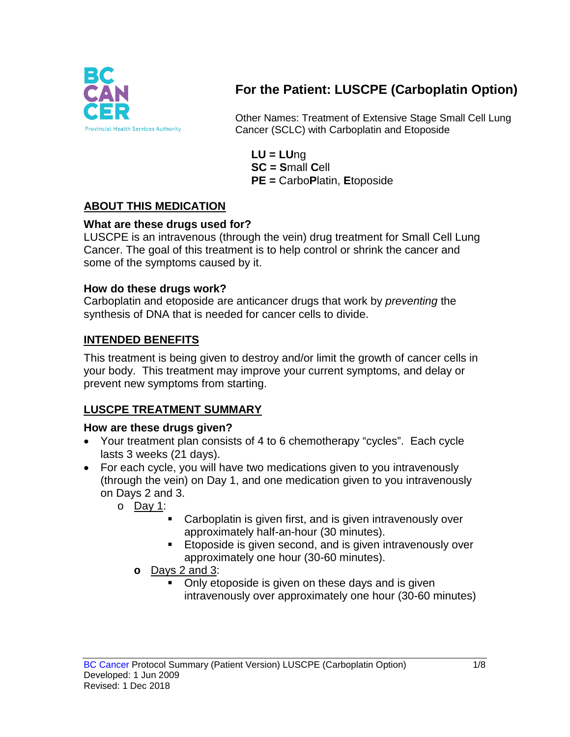

# **For the Patient: LUSCPE (Carboplatin Option)**

Other Names: Treatment of Extensive Stage Small Cell Lung Cancer (SCLC) with Carboplatin and Etoposide

**LU = LU**ng **SC = S**mall **C**ell **PE =** Carbo**P**latin, **E**toposide

### **ABOUT THIS MEDICATION**

### **What are these drugs used for?**

LUSCPE is an intravenous (through the vein) drug treatment for Small Cell Lung Cancer. The goal of this treatment is to help control or shrink the cancer and some of the symptoms caused by it.

#### **How do these drugs work?**

Carboplatin and etoposide are anticancer drugs that work by *preventing* the synthesis of DNA that is needed for cancer cells to divide.

### **INTENDED BENEFITS**

This treatment is being given to destroy and/or limit the growth of cancer cells in your body. This treatment may improve your current symptoms, and delay or prevent new symptoms from starting.

### **LUSCPE TREATMENT SUMMARY**

#### **How are these drugs given?**

- Your treatment plan consists of 4 to 6 chemotherapy "cycles". Each cycle lasts 3 weeks (21 days).
- For each cycle, you will have two medications given to you intravenously (through the vein) on Day 1, and one medication given to you intravenously on Days 2 and 3.
	- o Day 1:
		- Carboplatin is given first, and is given intravenously over approximately half-an-hour (30 minutes).
		- **Etoposide is given second, and is given intravenously over** approximately one hour (30-60 minutes).
		- **o** Days 2 and 3:
			- Only etoposide is given on these days and is given intravenously over approximately one hour (30-60 minutes)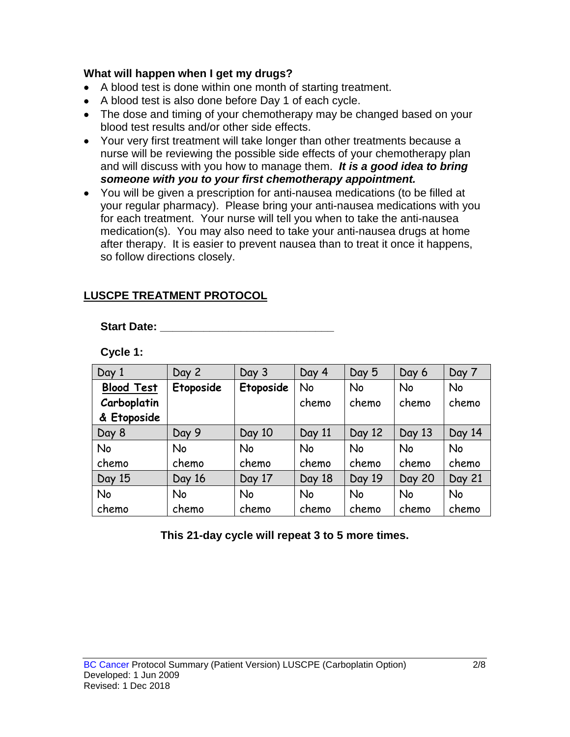#### **What will happen when I get my drugs?**

- A blood test is done within one month of starting treatment.
- A blood test is also done before Day 1 of each cycle.
- The dose and timing of your chemotherapy may be changed based on your blood test results and/or other side effects.
- Your very first treatment will take longer than other treatments because a nurse will be reviewing the possible side effects of your chemotherapy plan and will discuss with you how to manage them. *It is a good idea to bring someone with you to your first chemotherapy appointment.*
- You will be given a prescription for anti-nausea medications (to be filled at your regular pharmacy). Please bring your anti-nausea medications with you for each treatment. Your nurse will tell you when to take the anti-nausea medication(s). You may also need to take your anti-nausea drugs at home after therapy. It is easier to prevent nausea than to treat it once it happens, so follow directions closely.

### **LUSCPE TREATMENT PROTOCOL**

**Start Date: \_\_\_\_\_\_\_\_\_\_\_\_\_\_\_\_\_\_\_\_\_\_\_\_\_\_\_\_**

**Cycle 1:**

| Day 1             | Day 2     | Day 3     | Day 4     | Day 5     | Day 6         | Day 7     |
|-------------------|-----------|-----------|-----------|-----------|---------------|-----------|
| <b>Blood Test</b> | Etoposide | Etoposide | No        | No        | No            | No        |
| Carboplatin       |           |           | chemo     | chemo     | chemo         | chemo     |
| & Etoposide       |           |           |           |           |               |           |
| Day 8             | Day 9     | Day 10    | Day 11    | Day 12    | Day 13        | Day 14    |
| No                | <b>No</b> | <b>No</b> | <b>No</b> | <b>No</b> | <b>No</b>     | <b>No</b> |
| chemo             | chemo     | chemo     | chemo     | chemo     | chemo         | chemo     |
| Day 15            | Day 16    | Day 17    | Day 18    | Day 19    | <b>Day 20</b> | Day 21    |
| No                | No        | <b>No</b> | <b>No</b> | No        | No            | No        |
| chemo             | chemo     | chemo     | chemo     | chemo     | chemo         | chemo     |

**This 21-day cycle will repeat 3 to 5 more times.**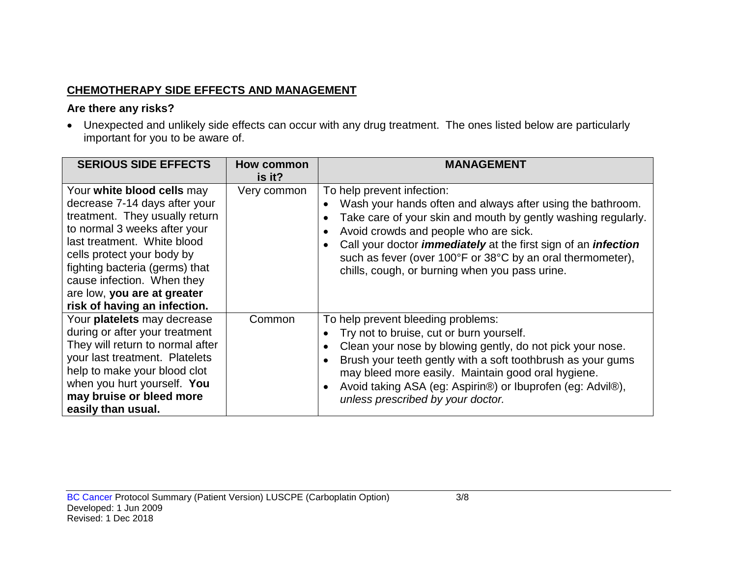## **CHEMOTHERAPY SIDE EFFECTS AND MANAGEMENT**

### **Are there any risks?**

• Unexpected and unlikely side effects can occur with any drug treatment. The ones listed below are particularly important for you to be aware of.

| <b>SERIOUS SIDE EFFECTS</b>                                                                                                                                                                                                                                                                                               | How common<br>is it? | <b>MANAGEMENT</b>                                                                                                                                                                                                                                                                                                                                                                                  |
|---------------------------------------------------------------------------------------------------------------------------------------------------------------------------------------------------------------------------------------------------------------------------------------------------------------------------|----------------------|----------------------------------------------------------------------------------------------------------------------------------------------------------------------------------------------------------------------------------------------------------------------------------------------------------------------------------------------------------------------------------------------------|
| Your white blood cells may<br>decrease 7-14 days after your<br>treatment. They usually return<br>to normal 3 weeks after your<br>last treatment. White blood<br>cells protect your body by<br>fighting bacteria (germs) that<br>cause infection. When they<br>are low, you are at greater<br>risk of having an infection. | Very common          | To help prevent infection:<br>Wash your hands often and always after using the bathroom.<br>Take care of your skin and mouth by gently washing regularly.<br>Avoid crowds and people who are sick.<br>Call your doctor <i>immediately</i> at the first sign of an <i>infection</i><br>such as fever (over 100°F or 38°C by an oral thermometer),<br>chills, cough, or burning when you pass urine. |
| Your platelets may decrease<br>during or after your treatment<br>They will return to normal after<br>your last treatment. Platelets<br>help to make your blood clot<br>when you hurt yourself. You<br>may bruise or bleed more<br>easily than usual.                                                                      | Common               | To help prevent bleeding problems:<br>Try not to bruise, cut or burn yourself.<br>Clean your nose by blowing gently, do not pick your nose.<br>Brush your teeth gently with a soft toothbrush as your gums<br>may bleed more easily. Maintain good oral hygiene.<br>Avoid taking ASA (eg: Aspirin®) or Ibuprofen (eg: Advil®),<br>unless prescribed by your doctor.                                |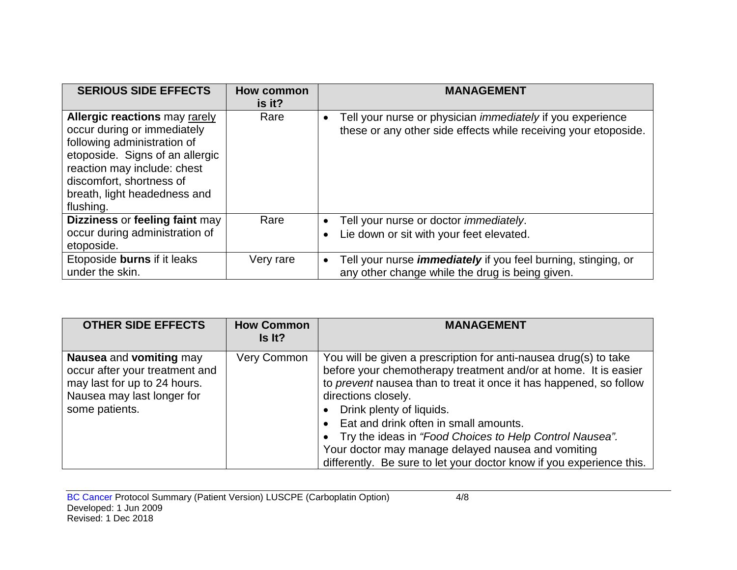| <b>SERIOUS SIDE EFFECTS</b>                                                                                                                                                                                                                   | How common<br>is it? | <b>MANAGEMENT</b>                                                                                                                                 |
|-----------------------------------------------------------------------------------------------------------------------------------------------------------------------------------------------------------------------------------------------|----------------------|---------------------------------------------------------------------------------------------------------------------------------------------------|
| <b>Allergic reactions may rarely</b><br>occur during or immediately<br>following administration of<br>etoposide. Signs of an allergic<br>reaction may include: chest<br>discomfort, shortness of<br>breath, light headedness and<br>flushing. | Rare                 | Tell your nurse or physician <i>immediately</i> if you experience<br>$\bullet$<br>these or any other side effects while receiving your etoposide. |
| Dizziness or feeling faint may<br>occur during administration of<br>etoposide.                                                                                                                                                                | Rare                 | Tell your nurse or doctor <i>immediately</i> .<br>$\bullet$<br>Lie down or sit with your feet elevated.<br>$\bullet$                              |
| Etoposide burns if it leaks<br>under the skin.                                                                                                                                                                                                | Very rare            | Tell your nurse <i>immediately</i> if you feel burning, stinging, or<br>$\bullet$<br>any other change while the drug is being given.              |

| <b>OTHER SIDE EFFECTS</b>                                                                                                                 | <b>How Common</b><br>Is It? | <b>MANAGEMENT</b>                                                                                                                                                                                                                                                                                                                                                                                                                                                                              |
|-------------------------------------------------------------------------------------------------------------------------------------------|-----------------------------|------------------------------------------------------------------------------------------------------------------------------------------------------------------------------------------------------------------------------------------------------------------------------------------------------------------------------------------------------------------------------------------------------------------------------------------------------------------------------------------------|
| Nausea and vomiting may<br>occur after your treatment and<br>may last for up to 24 hours.<br>Nausea may last longer for<br>some patients. | Very Common                 | You will be given a prescription for anti-nausea drug(s) to take<br>before your chemotherapy treatment and/or at home. It is easier<br>to prevent nausea than to treat it once it has happened, so follow<br>directions closely.<br>Drink plenty of liquids.<br>Eat and drink often in small amounts.<br>Try the ideas in "Food Choices to Help Control Nausea".<br>Your doctor may manage delayed nausea and vomiting<br>differently. Be sure to let your doctor know if you experience this. |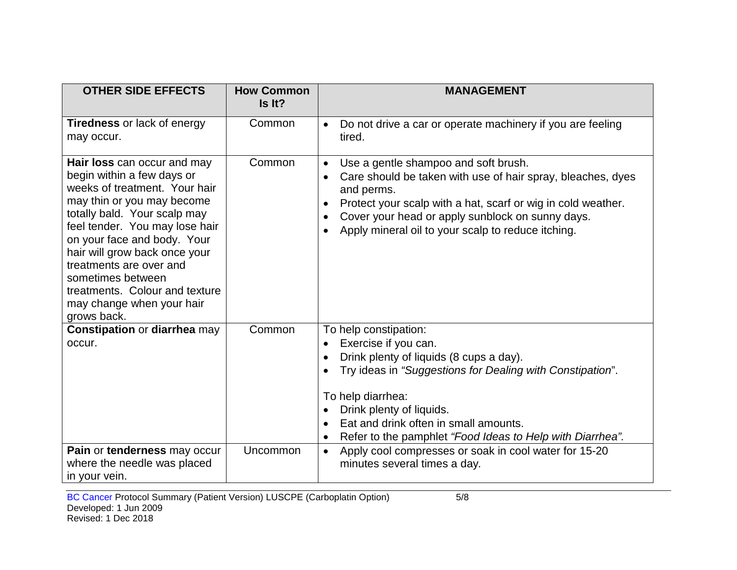| <b>OTHER SIDE EFFECTS</b>                                                                                                                                                                                                                                                                                                                                                                | <b>How Common</b><br>Is It? | <b>MANAGEMENT</b>                                                                                                                                                                                                                                                                                                     |
|------------------------------------------------------------------------------------------------------------------------------------------------------------------------------------------------------------------------------------------------------------------------------------------------------------------------------------------------------------------------------------------|-----------------------------|-----------------------------------------------------------------------------------------------------------------------------------------------------------------------------------------------------------------------------------------------------------------------------------------------------------------------|
| <b>Tiredness or lack of energy</b><br>may occur.                                                                                                                                                                                                                                                                                                                                         | Common                      | Do not drive a car or operate machinery if you are feeling<br>$\bullet$<br>tired.                                                                                                                                                                                                                                     |
| Hair loss can occur and may<br>begin within a few days or<br>weeks of treatment. Your hair<br>may thin or you may become<br>totally bald. Your scalp may<br>feel tender. You may lose hair<br>on your face and body. Your<br>hair will grow back once your<br>treatments are over and<br>sometimes between<br>treatments. Colour and texture<br>may change when your hair<br>grows back. | Common                      | Use a gentle shampoo and soft brush.<br>$\bullet$<br>Care should be taken with use of hair spray, bleaches, dyes<br>and perms.<br>Protect your scalp with a hat, scarf or wig in cold weather.<br>$\bullet$<br>Cover your head or apply sunblock on sunny days.<br>Apply mineral oil to your scalp to reduce itching. |
| <b>Constipation or diarrhea may</b><br>occur.                                                                                                                                                                                                                                                                                                                                            | Common                      | To help constipation:<br>Exercise if you can.<br>Drink plenty of liquids (8 cups a day).<br>Try ideas in "Suggestions for Dealing with Constipation".<br>To help diarrhea:<br>Drink plenty of liquids.<br>Eat and drink often in small amounts.<br>Refer to the pamphlet "Food Ideas to Help with Diarrhea".          |
| Pain or tenderness may occur<br>where the needle was placed<br>in your vein.                                                                                                                                                                                                                                                                                                             | Uncommon                    | Apply cool compresses or soak in cool water for 15-20<br>$\bullet$<br>minutes several times a day.                                                                                                                                                                                                                    |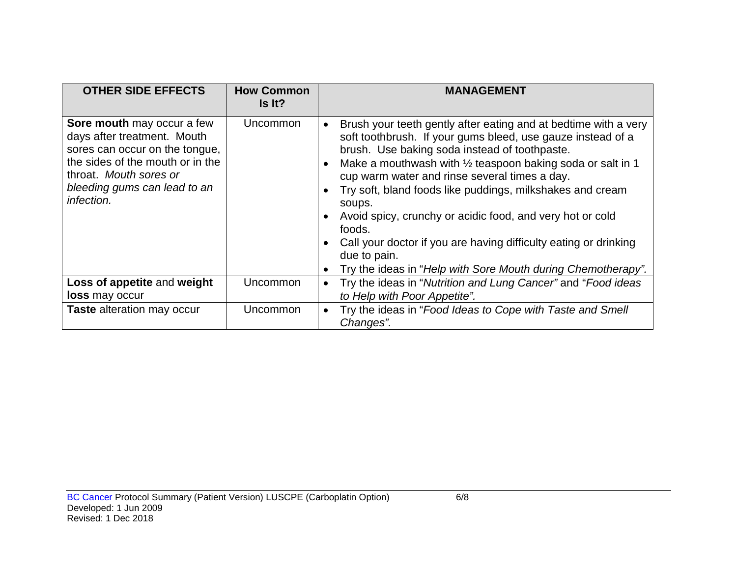| <b>OTHER SIDE EFFECTS</b>                                                                                                                                                                               | <b>How Common</b><br>Is It? | <b>MANAGEMENT</b>                                                                                                                                                                                                                                                                                                                                                                                                                                                                                                                                                                                                                     |
|---------------------------------------------------------------------------------------------------------------------------------------------------------------------------------------------------------|-----------------------------|---------------------------------------------------------------------------------------------------------------------------------------------------------------------------------------------------------------------------------------------------------------------------------------------------------------------------------------------------------------------------------------------------------------------------------------------------------------------------------------------------------------------------------------------------------------------------------------------------------------------------------------|
| Sore mouth may occur a few<br>days after treatment. Mouth<br>sores can occur on the tongue,<br>the sides of the mouth or in the<br>throat. Mouth sores or<br>bleeding gums can lead to an<br>infection. | Uncommon                    | Brush your teeth gently after eating and at bedtime with a very<br>soft toothbrush. If your gums bleed, use gauze instead of a<br>brush. Use baking soda instead of toothpaste.<br>Make a mouthwash with $\frac{1}{2}$ teaspoon baking soda or salt in 1<br>$\bullet$<br>cup warm water and rinse several times a day.<br>Try soft, bland foods like puddings, milkshakes and cream<br>soups.<br>Avoid spicy, crunchy or acidic food, and very hot or cold<br>$\bullet$<br>foods.<br>Call your doctor if you are having difficulty eating or drinking<br>due to pain.<br>Try the ideas in "Help with Sore Mouth during Chemotherapy". |
| Loss of appetite and weight<br><b>loss</b> may occur                                                                                                                                                    | <b>Uncommon</b>             | Try the ideas in "Nutrition and Lung Cancer" and "Food ideas<br>$\bullet$<br>to Help with Poor Appetite".                                                                                                                                                                                                                                                                                                                                                                                                                                                                                                                             |
| <b>Taste</b> alteration may occur                                                                                                                                                                       | Uncommon                    | Try the ideas in "Food Ideas to Cope with Taste and Smell<br>$\bullet$<br>Changes".                                                                                                                                                                                                                                                                                                                                                                                                                                                                                                                                                   |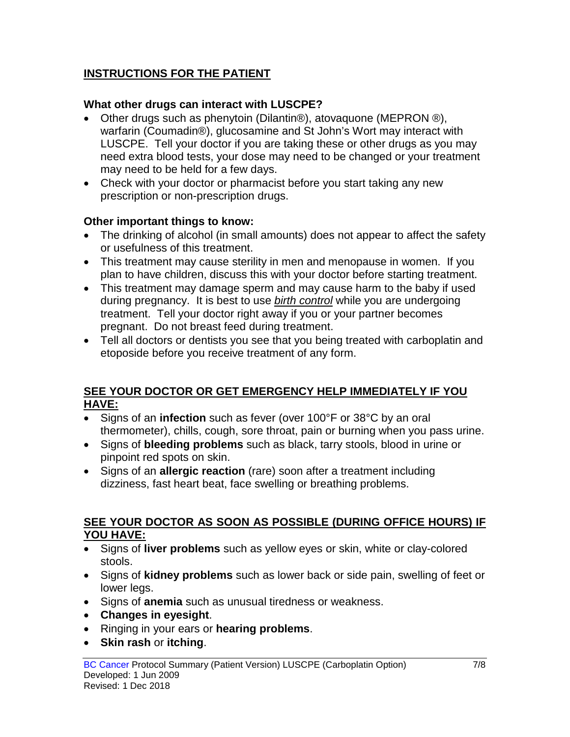## **INSTRUCTIONS FOR THE PATIENT**

### **What other drugs can interact with LUSCPE?**

- Other drugs such as phenytoin (Dilantin®), atovaquone (MEPRON ®), warfarin (Coumadin®), glucosamine and St John's Wort may interact with LUSCPE. Tell your doctor if you are taking these or other drugs as you may need extra blood tests, your dose may need to be changed or your treatment may need to be held for a few days.
- Check with your doctor or pharmacist before you start taking any new prescription or non-prescription drugs.

### **Other important things to know:**

- The drinking of alcohol (in small amounts) does not appear to affect the safety or usefulness of this treatment.
- This treatment may cause sterility in men and menopause in women. If you plan to have children, discuss this with your doctor before starting treatment.
- This treatment may damage sperm and may cause harm to the baby if used during pregnancy. It is best to use *birth control* while you are undergoing treatment. Tell your doctor right away if you or your partner becomes pregnant. Do not breast feed during treatment.
- Tell all doctors or dentists you see that you being treated with carboplatin and etoposide before you receive treatment of any form.

### **SEE YOUR DOCTOR OR GET EMERGENCY HELP IMMEDIATELY IF YOU HAVE:**

- Signs of an **infection** such as fever (over 100°F or 38°C by an oral thermometer), chills, cough, sore throat, pain or burning when you pass urine.
- Signs of **bleeding problems** such as black, tarry stools, blood in urine or pinpoint red spots on skin.
- Signs of an **allergic reaction** (rare) soon after a treatment including dizziness, fast heart beat, face swelling or breathing problems.

#### **SEE YOUR DOCTOR AS SOON AS POSSIBLE (DURING OFFICE HOURS) IF YOU HAVE:**

- Signs of **liver problems** such as yellow eyes or skin, white or clay-colored stools.
- Signs of **kidney problems** such as lower back or side pain, swelling of feet or lower legs.
- Signs of **anemia** such as unusual tiredness or weakness.
- **Changes in eyesight**.
- Ringing in your ears or **hearing problems**.
- **Skin rash** or **itching**.